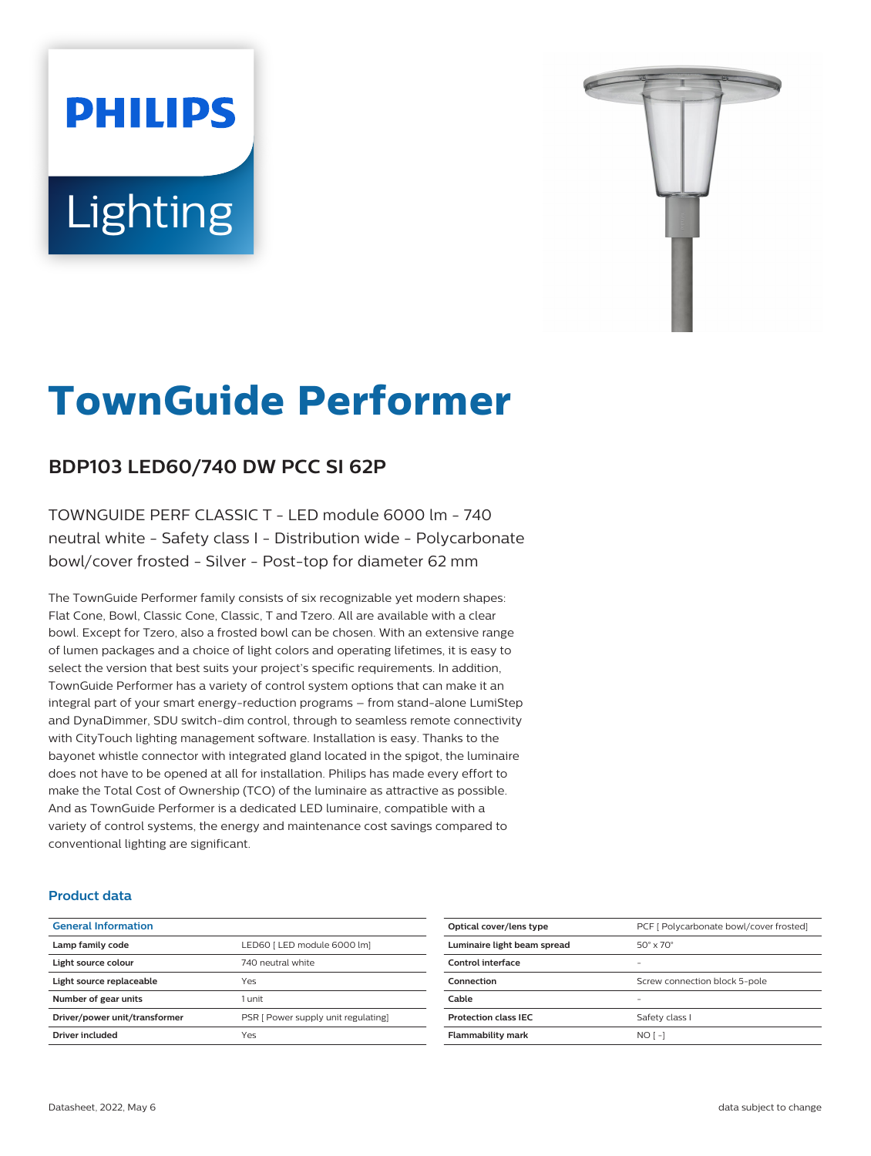# **PHILIPS** Lighting



# **TownGuide Performer**

# **BDP103 LED60/740 DW PCC SI 62P**

TOWNGUIDE PERF CLASSIC T - LED module 6000 lm - 740 neutral white - Safety class I - Distribution wide - Polycarbonate bowl/cover frosted - Silver - Post-top for diameter 62 mm

The TownGuide Performer family consists of six recognizable yet modern shapes: Flat Cone, Bowl, Classic Cone, Classic, T and Tzero. All are available with a clear bowl. Except for Tzero, also a frosted bowl can be chosen. With an extensive range of lumen packages and a choice of light colors and operating lifetimes, it is easy to select the version that best suits your project's specific requirements. In addition, TownGuide Performer has a variety of control system options that can make it an integral part of your smart energy-reduction programs – from stand-alone LumiStep and DynaDimmer, SDU switch-dim control, through to seamless remote connectivity with CityTouch lighting management software. Installation is easy. Thanks to the bayonet whistle connector with integrated gland located in the spigot, the luminaire does not have to be opened at all for installation. Philips has made every effort to make the Total Cost of Ownership (TCO) of the luminaire as attractive as possible. And as TownGuide Performer is a dedicated LED luminaire, compatible with a variety of control systems, the energy and maintenance cost savings compared to conventional lighting are significant.

#### **Product data**

| <b>General Information</b>    |                                     |
|-------------------------------|-------------------------------------|
| Lamp family code              | LED60   LED module 6000 lml         |
| Light source colour           | 740 neutral white                   |
| Light source replaceable      | Yes                                 |
| Number of gear units          | $1$ unit                            |
| Driver/power unit/transformer | PSR [ Power supply unit regulating] |
| Driver included               | Yes                                 |
|                               |                                     |

| Optical cover/lens type     | PCF [ Polycarbonate bowl/cover frosted] |
|-----------------------------|-----------------------------------------|
| Luminaire light beam spread | $50^\circ \times 70^\circ$              |
| Control interface           |                                         |
| Connection                  | Screw connection block 5-pole           |
| Cable                       |                                         |
| <b>Protection class IEC</b> | Safety class I                          |
| <b>Flammability mark</b>    | $NOT - I$                               |
|                             |                                         |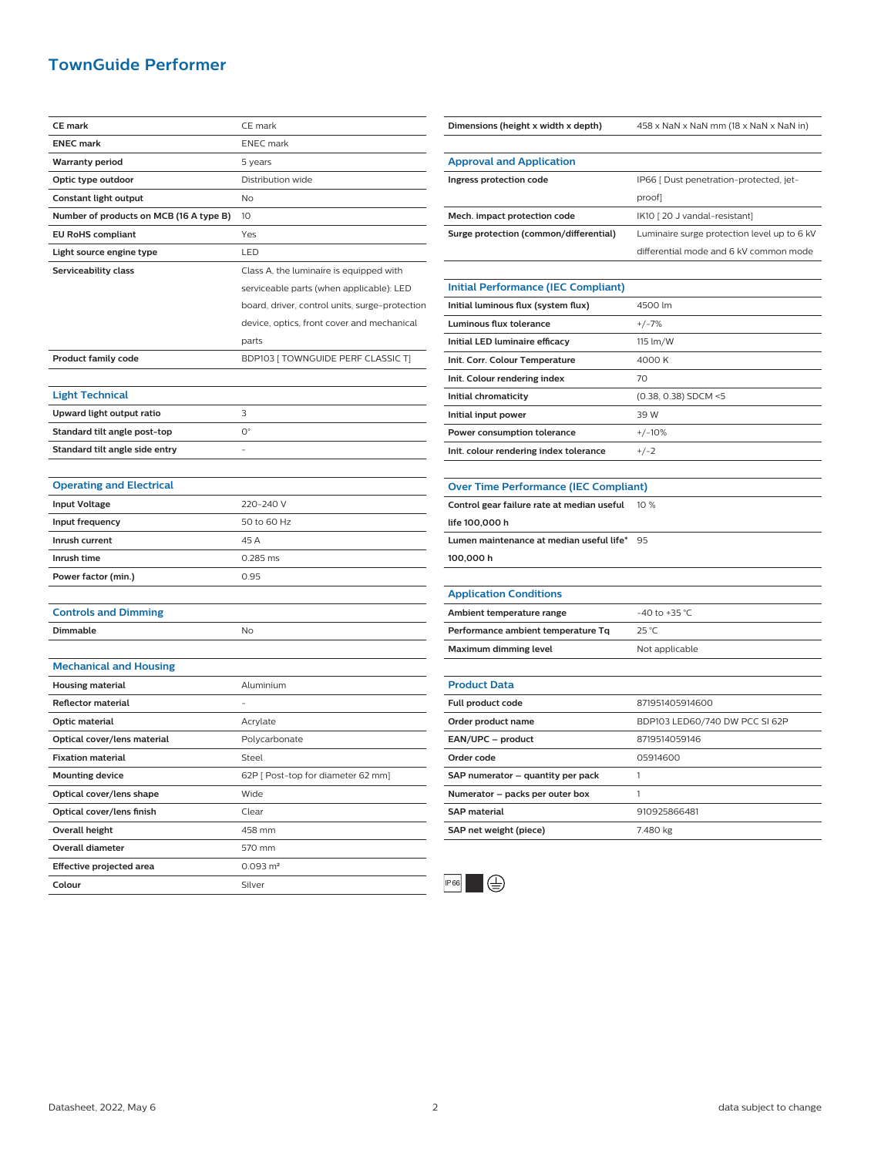## **TownGuide Performer**

| <b>CE mark</b>                          | CE mark                                        |
|-----------------------------------------|------------------------------------------------|
| <b>ENEC mark</b>                        | <b>ENEC</b> mark                               |
| <b>Warranty period</b>                  | 5 years                                        |
| Optic type outdoor                      | Distribution wide                              |
| Constant light output                   | No                                             |
| Number of products on MCB (16 A type B) | 10                                             |
| <b>EU RoHS compliant</b>                | Yes                                            |
| Light source engine type                | LED                                            |
| Serviceability class                    | Class A, the luminaire is equipped with        |
|                                         | serviceable parts (when applicable): LED       |
|                                         | board, driver, control units, surge-protection |
|                                         | device, optics, front cover and mechanical     |
|                                         | parts                                          |
| <b>Product family code</b>              | BDP103 [ TOWNGUIDE PERF CLASSIC T]             |
|                                         |                                                |
| <b>Light Technical</b>                  |                                                |
| Upward light output ratio               | 3                                              |
| Standard tilt angle post-top            | О°                                             |
| Standard tilt angle side entry          |                                                |
|                                         |                                                |
| <b>Operating and Electrical</b>         |                                                |
| <b>Input Voltage</b>                    | 220-240 V                                      |
| Input frequency                         | 50 to 60 Hz                                    |
| Inrush current                          | 45 A                                           |
| Inrush time                             | 0.285 ms                                       |
| Power factor (min.)                     | 0.95                                           |
|                                         |                                                |
| <b>Controls and Dimming</b>             |                                                |
| Dimmable                                | No                                             |
|                                         |                                                |
| <b>Mechanical and Housing</b>           |                                                |
| <b>Housing material</b>                 | Aluminium                                      |
| Reflector material                      |                                                |
| Optic material                          | Acrylate                                       |
| Optical cover/lens material             | Polycarbonate                                  |
| <b>Fixation material</b>                | Steel                                          |
| <b>Mounting device</b>                  | 62P [ Post-top for diameter 62 mm]             |
| Optical cover/lens shape                | Wide                                           |
| Optical cover/lens finish               | Clear                                          |
| <b>Overall height</b>                   | 458 mm                                         |
| <b>Overall diameter</b>                 | 570 mm                                         |
| Effective projected area                | $0.093 \text{ m}^2$                            |
| Colour                                  | Silver                                         |

| Dimensions (height x width x depth)          | 458 x NaN x NaN mm (18 x NaN x NaN in)      |
|----------------------------------------------|---------------------------------------------|
|                                              |                                             |
| <b>Approval and Application</b>              |                                             |
| Ingress protection code                      | IP66 [ Dust penetration-protected, jet-     |
|                                              | proof]                                      |
| Mech. impact protection code                 | IK10 [20 J vandal-resistant]                |
| Surge protection (common/differential)       | Luminaire surge protection level up to 6 kV |
|                                              | differential mode and 6 kV common mode      |
|                                              |                                             |
| <b>Initial Performance (IEC Compliant)</b>   |                                             |
| Initial luminous flux (system flux)          | 4500 lm                                     |
| Luminous flux tolerance                      | $+/-7%$                                     |
| Initial LED luminaire efficacy               | 115 lm/W                                    |
| Init. Corr. Colour Temperature               | 4000 K                                      |
| Init. Colour rendering index                 | 70                                          |
| Initial chromaticity                         | (0.38, 0.38) SDCM <5                        |
| Initial input power                          | 39 W                                        |
| Power consumption tolerance                  | $+/-10%$                                    |
| Init. colour rendering index tolerance       | $+/-2$                                      |
|                                              |                                             |
| <b>Over Time Performance (IEC Compliant)</b> |                                             |
| Control gear failure rate at median useful   | 10 %                                        |
| life 100,000 h                               |                                             |
| Lumen maintenance at median useful life*     | 95                                          |
| 100,000 h                                    |                                             |
|                                              |                                             |
| <b>Application Conditions</b>                |                                             |
| Ambient temperature range                    | -40 to +35 °C                               |
| Performance ambient temperature Tq           | $25^{\circ}$ C                              |
| Maximum dimming level                        | Not applicable                              |
|                                              |                                             |
| <b>Product Data</b>                          |                                             |
| Full product code                            | 871951405914600                             |
| Order product name                           | BDP103 LED60/740 DW PCC SI 62P              |
| EAN/UPC - product                            | 8719514059146                               |
| Order code                                   | 05914600                                    |
| SAP numerator - quantity per pack            | 1                                           |
| Numerator - packs per outer box              | 1                                           |



**SAP material** 910925866481 **SAP net weight (piece)** 7.480 kg